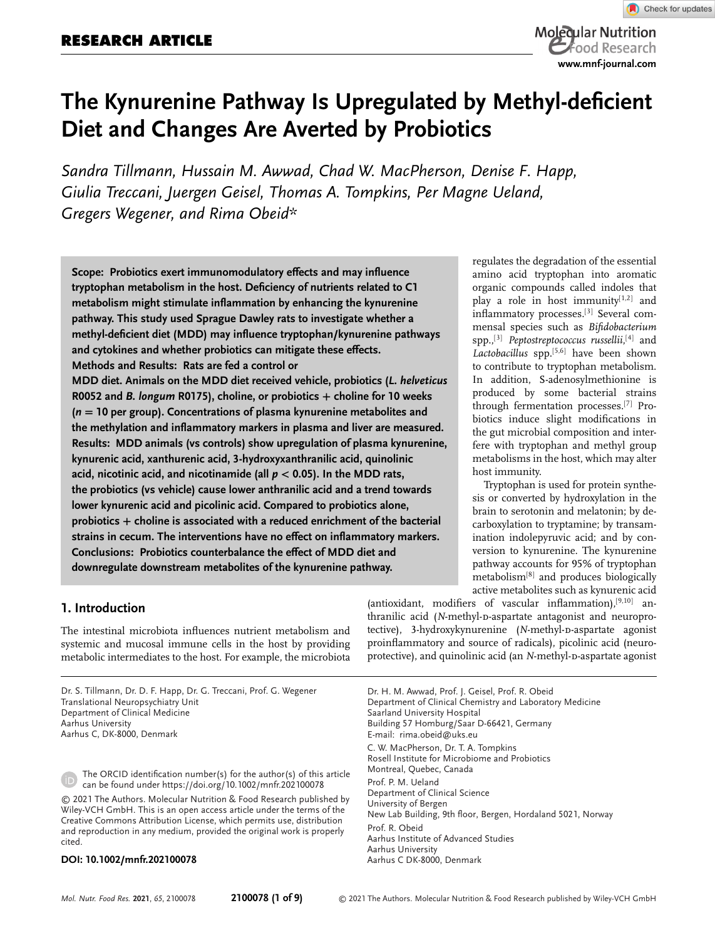# **RESEARCH ARTICLE**



# **The Kynurenine Pathway Is Upregulated by Methyl-deficient Diet and Changes Are Averted by Probiotics**

*Sandra Tillmann, Hussain M. Awwad, Chad W. MacPherson, Denise F. Happ, Giulia Treccani, Juergen Geisel, Thomas A. Tompkins, Per Magne Ueland, Gregers Wegener, and Rima Obeid\**

**Scope: Probiotics exert immunomodulatory effects and may influence tryptophan metabolism in the host. Deficiency of nutrients related to C1 metabolism might stimulate inflammation by enhancing the kynurenine pathway. This study used Sprague Dawley rats to investigate whether a methyl-deficient diet (MDD) may influence tryptophan/kynurenine pathways and cytokines and whether probiotics can mitigate these effects. Methods and Results: Rats are fed a control or**

**MDD diet. Animals on the MDD diet received vehicle, probiotics (***L. helveticus* **R0052 and** *B. longum* **R0175), choline, or probiotics <sup>+</sup> choline for 10 weeks (***n* **<sup>=</sup> 10 per group). Concentrations of plasma kynurenine metabolites and the methylation and inflammatory markers in plasma and liver are measured. Results: MDD animals (vs controls) show upregulation of plasma kynurenine, kynurenic acid, xanthurenic acid, 3-hydroxyxanthranilic acid, quinolinic acid, nicotinic acid, and nicotinamide (all** *p <sup>&</sup>lt;* **0.05). In the MDD rats, the probiotics (vs vehicle) cause lower anthranilic acid and a trend towards lower kynurenic acid and picolinic acid. Compared to probiotics alone, probiotics + choline is associated with a reduced enrichment of the bacterial strains in cecum. The interventions have no effect on inflammatory markers. Conclusions: Probiotics counterbalance the effect of MDD diet and downregulate downstream metabolites of the kynurenine pathway.**

regulates the degradation of the essential amino acid tryptophan into aromatic organic compounds called indoles that play a role in host immunity $[1,2]$  and inflammatory processes.[3] Several commensal species such as *Bifidobacterium* spp.,[3] *Peptostreptococcus russellii*, [4] and *Lactobacillus* spp.[5,6] have been shown to contribute to tryptophan metabolism. In addition, S-adenosylmethionine is produced by some bacterial strains through fermentation processes.[7] Probiotics induce slight modifications in the gut microbial composition and interfere with tryptophan and methyl group metabolisms in the host, which may alter host immunity.

Tryptophan is used for protein synthesis or converted by hydroxylation in the brain to serotonin and melatonin; by decarboxylation to tryptamine; by transamination indolepyruvic acid; and by conversion to kynurenine. The kynurenine pathway accounts for 95% of tryptophan metabolism[8] and produces biologically active metabolites such as kynurenic acid

# **1. Introduction**

The intestinal microbiota influences nutrient metabolism and systemic and mucosal immune cells in the host by providing metabolic intermediates to the host. For example, the microbiota

Dr. S. Tillmann, Dr. D. F. Happ, Dr. G. Treccani, Prof. G. Wegener Translational Neuropsychiatry Unit Department of Clinical Medicine Aarhus University Aarhus C, DK-8000, Denmark

The ORCID identification number(s) for the author(s) of this article can be found under<https://doi.org/10.1002/mnfr.202100078>

© 2021 The Authors. Molecular Nutrition & Food Research published by Wiley-VCH GmbH. This is an open access article under the terms of the [Creative Commons Attribution](http://creativecommons.org/licenses/by/4.0/) License, which permits use, distribution and reproduction in any medium, provided the original work is properly cited.

#### **DOI: 10.1002/mnfr.202100078**

(antioxidant, modifiers of vascular inflammation), $[9,10]$  anthranilic acid (*N*-methyl-p-aspartate antagonist and neuroprotective), 3-hydroxykynurenine (*N*-methyl-p-aspartate agonist proinflammatory and source of radicals), picolinic acid (neuroprotective), and quinolinic acid (an *N*-methyl-D-aspartate agonist

Dr. H. M. Awwad, Prof. J. Geisel, Prof. R. Obeid Department of Clinical Chemistry and Laboratory Medicine Saarland University Hospital Building 57 Homburg/Saar D-66421, Germany E-mail: [rima.obeid@uks.eu](mailto:rima.obeid@uks.eu) C. W. MacPherson, Dr. T. A. Tompkins Rosell Institute for Microbiome and Probiotics Montreal, Quebec, Canada Prof. P. M. Ueland Department of Clinical Science University of Bergen New Lab Building, 9th floor, Bergen, Hordaland 5021, Norway Prof. R. Obeid Aarhus Institute of Advanced Studies Aarhus University Aarhus C DK-8000, Denmark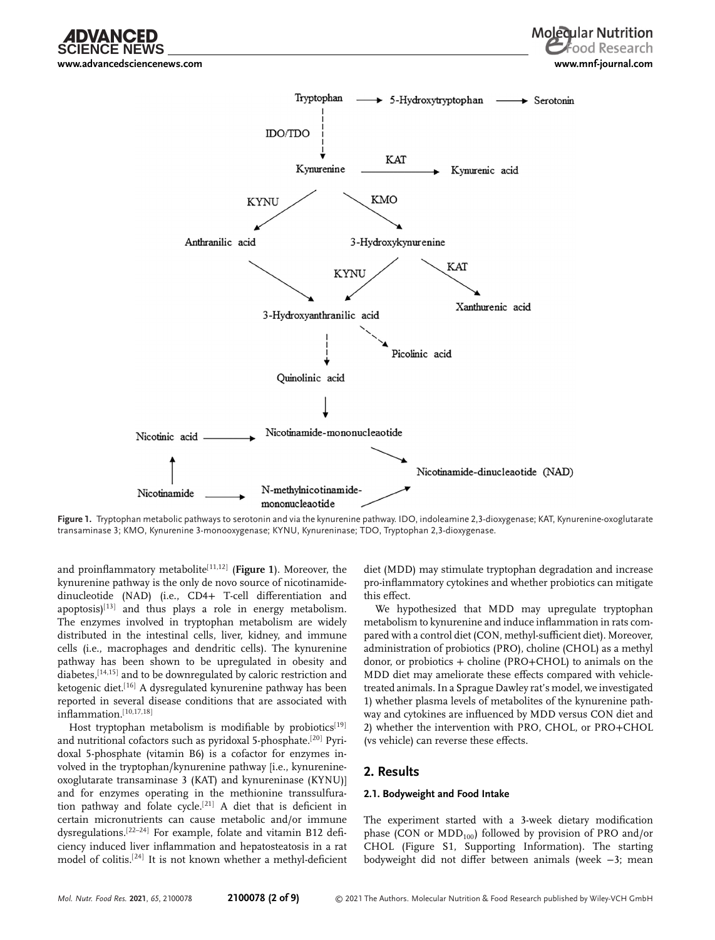**[www.advancedsciencenews.com](http://www.advancedsciencenews.com) [www.mnf-journal.com](http://www.mnf-journal.com)**



**Figure 1.** Tryptophan metabolic pathways to serotonin and via the kynurenine pathway. IDO, indoleamine 2,3-dioxygenase; KAT, Kynurenine-oxoglutarate transaminase 3; KMO, Kynurenine 3-monooxygenase; KYNU, Kynureninase; TDO, Tryptophan 2,3-dioxygenase.

and proinflammatory metabolite<sup>[11,12]</sup> (Figure 1). Moreover, the kynurenine pathway is the only de novo source of nicotinamidedinucleotide (NAD) (i.e., CD4+ T-cell differentiation and apoptosis) $[13]$  and thus plays a role in energy metabolism. The enzymes involved in tryptophan metabolism are widely distributed in the intestinal cells, liver, kidney, and immune cells (i.e., macrophages and dendritic cells). The kynurenine pathway has been shown to be upregulated in obesity and diabetes, [14,15] and to be downregulated by caloric restriction and ketogenic diet.<sup>[16]</sup> A dysregulated kynurenine pathway has been reported in several disease conditions that are associated with inflammation.[10,17,18]

Host tryptophan metabolism is modifiable by probiotics<sup>[19]</sup> and nutritional cofactors such as pyridoxal 5-phosphate.[20] Pyridoxal 5-phosphate (vitamin B6) is a cofactor for enzymes involved in the tryptophan/kynurenine pathway [i.e., kynurenineoxoglutarate transaminase 3 (KAT) and kynureninase (KYNU)] and for enzymes operating in the methionine transsulfuration pathway and folate cycle.[21] A diet that is deficient in certain micronutrients can cause metabolic and/or immune dysregulations.[22–24] For example, folate and vitamin B12 deficiency induced liver inflammation and hepatosteatosis in a rat model of colitis.[24] It is not known whether a methyl-deficient diet (MDD) may stimulate tryptophan degradation and increase pro-inflammatory cytokines and whether probiotics can mitigate this effect.

We hypothesized that MDD may upregulate tryptophan metabolism to kynurenine and induce inflammation in rats compared with a control diet (CON, methyl-sufficient diet). Moreover, administration of probiotics (PRO), choline (CHOL) as a methyl donor, or probiotics + choline (PRO+CHOL) to animals on the MDD diet may ameliorate these effects compared with vehicletreated animals. In a Sprague Dawley rat's model, we investigated 1) whether plasma levels of metabolites of the kynurenine pathway and cytokines are influenced by MDD versus CON diet and 2) whether the intervention with PRO, CHOL, or PRO+CHOL (vs vehicle) can reverse these effects.

### **2. Results**

#### **2.1. Bodyweight and Food Intake**

The experiment started with a 3-week dietary modification phase (CON or  $MDD_{100}$ ) followed by provision of PRO and/or CHOL (Figure S1, Supporting Information). The starting bodyweight did not differ between animals (week −3; mean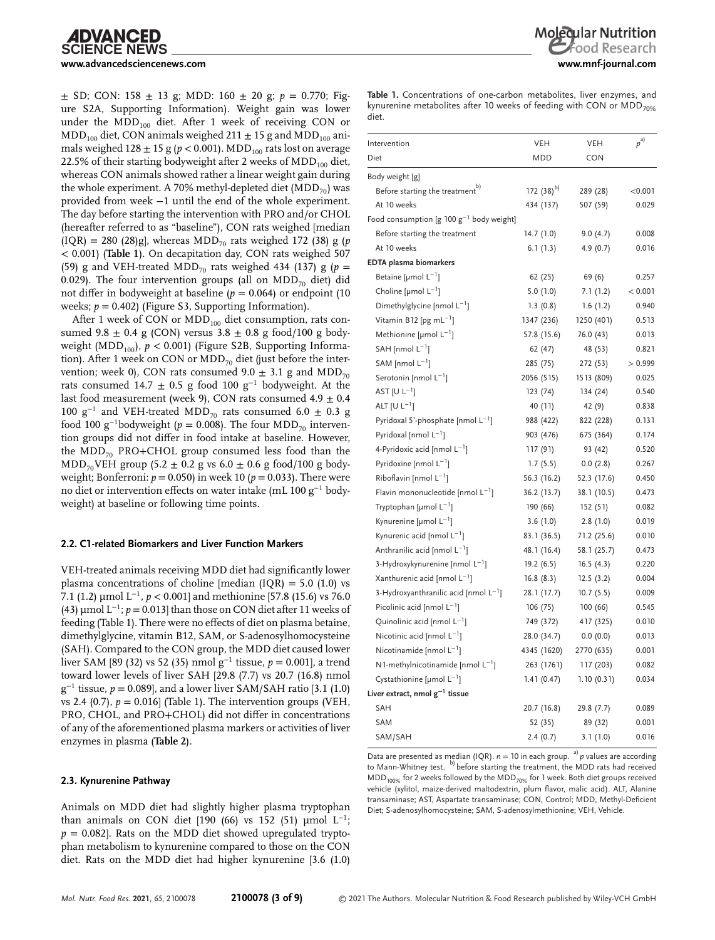$\pm$  SD; CON: 158  $\pm$  13 g; MDD: 160  $\pm$  20 g; *p* = 0.770; Figure S2A, Supporting Information). Weight gain was lower under the  $MDD_{100}$  diet. After 1 week of receiving CON or  $\text{MDD}_{100}$  diet, CON animals weighed 211  $\pm$  15 g and MDD<sub>100</sub> animals weighed  $128 \pm 15$  g ( $p < 0.001$ ). MDD<sub>100</sub> rats lost on average 22.5% of their starting bodyweight after 2 weeks of  $\text{MDD}_{100}$  diet, whereas CON animals showed rather a linear weight gain during the whole experiment. A 70% methyl-depleted diet  $(MDD_{70})$  was provided from week −1 until the end of the whole experiment. The day before starting the intervention with PRO and/or CHOL (hereafter referred to as "baseline"), CON rats weighed [median  $(IQR) = 280$  (28)g], whereas MDD<sub>70</sub> rats weighed 172 (38) g (*p <sup>&</sup>lt;* 0.001) (**Table 1**). On decapitation day, CON rats weighed 507 (59) g and VEH-treated MDD<sub>70</sub> rats weighed 434 (137) g ( $p =$ 0.029). The four intervention groups (all on  $\text{MDD}_{70}$  diet) did not differ in bodyweight at baseline (*p* = 0.064) or endpoint (10 weeks; *p* = 0.402) (Figure S3, Supporting Information).

After 1 week of CON or  $MDD_{100}$  diet consumption, rats consumed 9.8  $\pm$  0.4 g (CON) versus 3.8  $\pm$  0.8 g food/100 g bodyweight (MDD<sub>100</sub>),  $p < 0.001$ ) (Figure S2B, Supporting Information). After 1 week on CON or  $MDD_{70}$  diet (just before the intervention; week 0), CON rats consumed  $9.0 \pm 3.1$  g and MDD<sub>70</sub> rats consumed 14.7 ± 0.5 g food 100 g<sup>-1</sup> bodyweight. At the last food measurement (week 9), CON rats consumed  $4.9 \pm 0.4$ 100 g<sup>-1</sup> and VEH-treated MDD<sub>70</sub> rats consumed 6.0 ± 0.3 g food 100 g<sup>-1</sup>bodyweight ( $p = 0.008$ ). The four MDD<sub>70</sub> intervention groups did not differ in food intake at baseline. However, the  $MDD_{70}$  PRO+CHOL group consumed less food than the  $MDD_{70}VEH$  group (5.2  $\pm$  0.2 g vs 6.0  $\pm$  0.6 g food/100 g bodyweight; Bonferroni:  $p = 0.050$ ) in week 10 ( $p = 0.033$ ). There were no diet or intervention effects on water intake (mL 100 g<sup>−</sup><sup>1</sup> bodyweight) at baseline or following time points.

### **2.2. C1-related Biomarkers and Liver Function Markers**

VEH-treated animals receiving MDD diet had significantly lower plasma concentrations of choline [median  $(IQR) = 5.0$   $(1.0)$  vs 7.1 (1.2) µmol L<sup>−</sup>1, *p <* 0.001] and methionine [57.8 (15.6) vs 76.0 (43)  $\mu$ mol L<sup>-1</sup>; *p* = 0.013] than those on CON diet after 11 weeks of feeding (Table 1). There were no effects of diet on plasma betaine, dimethylglycine, vitamin B12, SAM, or S-adenosylhomocysteine (SAH). Compared to the CON group, the MDD diet caused lower liver SAM [89 (32) vs 52 (35) nmol g<sup>−</sup><sup>1</sup> tissue, *p* = 0.001], a trend toward lower levels of liver SAH [29.8 (7.7) vs 20.7 (16.8) nmol g<sup>−</sup><sup>1</sup> tissue, *p* = 0.089], and a lower liver SAM/SAH ratio [3.1 (1.0) vs 2.4 (0.7),  $p = 0.016$  (Table 1). The intervention groups (VEH, PRO, CHOL, and PRO+CHOL) did not differ in concentrations of any of the aforementioned plasma markers or activities of liver enzymes in plasma (**Table 2**).

# **2.3. Kynurenine Pathway**

Animals on MDD diet had slightly higher plasma tryptophan than animals on CON diet [190 (66) vs 152 (51) µmol  $L^{-1}$ ;  $p = 0.082$ . Rats on the MDD diet showed upregulated tryptophan metabolism to kynurenine compared to those on the CON diet. Rats on the MDD diet had higher kynurenine [3.6 (1.0)

**Table 1.** Concentrations of one-carbon metabolites, liver enzymes, and kynurenine metabolites after 10 weeks of feeding with CON or  $MDD_{70\%}$ diet.

| Intervention                                   | <b>VEH</b>     | <b>VEH</b>  | $p^{a)}$ |
|------------------------------------------------|----------------|-------------|----------|
| Diet                                           | <b>MDD</b>     | CON         |          |
|                                                |                |             |          |
| Body weight [g]                                |                |             |          |
| Before starting the treatment <sup>b)</sup>    | 172 $(38)^{b}$ | 289 (28)    | < 0.001  |
| At 10 weeks                                    | 434 (137)      | 507 (59)    | 0.029    |
| Food consumption [g 100 $g^{-1}$ body weight]  |                |             |          |
| Before starting the treatment                  | 14.7(1.0)      | 9.0(4.7)    | 0.008    |
| At 10 weeks                                    | 6.1(1.3)       | 4.9(0.7)    | 0.016    |
| <b>EDTA</b> plasma biomarkers                  |                |             |          |
| Betaine [µmol $L^{-1}$ ]                       | 62(25)         | 69 (6)      | 0.257    |
| Choline [ $\mu$ mol $L^{-1}$ ]                 | 5.0(1.0)       | 7.1(1.2)    | < 0.001  |
| Dimethylglycine [nmol L <sup>-1</sup> ]        | 1.3(0.8)       | 1.6(1.2)    | 0.940    |
| Vitamin B12 [pg mL $^{-1}$ ]                   | 1347 (236)     | 1250 (401)  | 0.513    |
| Methionine [ $\mu$ mol $L^{-1}$ ]              | 57.8 (15.6)    | 76.0 (43)   | 0.013    |
| $SAH$ [nmol $L^{-1}$ ]                         | 62 (47)        | 48 (53)     | 0.821    |
| SAM [nmol $L^{-1}$ ]                           | 285 (75)       | 272 (53)    | >0.999   |
| Serotonin [nmol L <sup>-1</sup> ]              | 2056 (515)     | 1513 (809)  | 0.025    |
| AST [U $L^{-1}$ ]                              | 123 (74)       | 134(24)     | 0.540    |
| ALT $[U L^{-1}]$                               | 40 (11)        | 42 (9)      | 0.838    |
| Pyridoxal 5'-phosphate [nmol L <sup>-1</sup> ] | 988 (422)      | 822 (228)   | 0.131    |
| Pyridoxal [nmol $L^{-1}$ ]                     | 903 (476)      | 675 (364)   | 0.174    |
| 4-Pyridoxic acid [nmol L <sup>-1</sup> ]       | 117 (91)       | 93 (42)     | 0.520    |
| Pyridoxine [nmol $L^{-1}$ ]                    | 1.7(5.5)       | 0.0(2.8)    | 0.267    |
| Riboflavin [nmol $L^{-1}$ ]                    | 56.3 (16.2)    | 52.3 (17.6) | 0.450    |
| Flavin mononucleotide [nmol $L^{-1}$ ]         | 36.2 (13.7)    | 38.1 (10.5) | 0.473    |
| Tryptophan [µmol $L^{-1}$ ]                    | 190 (66)       | 152(51)     | 0.082    |
| Kynurenine [µmol $L^{-1}$ ]                    | 3.6(1.0)       | 2.8(1.0)    | 0.019    |
| Kynurenic acid [nmol L <sup>-1</sup> ]         | 83.1 (36.5)    | 71.2 (25.6) | 0.010    |
| Anthranilic acid [nmol $L^{-1}$ ]              | 48.1 (16.4)    | 58.1 (25.7) | 0.473    |
| 3-Hydroxykynurenine [nmol L <sup>-1</sup> ]    | 19.2(6.5)      | 16.5(4.3)   | 0.220    |
| Xanthurenic acid [nmol L <sup>-1</sup> ]       | 16.8(8.3)      | 12.5(3.2)   | 0.004    |
| 3-Hydroxyanthranilic acid [nmol $L^{-1}$ ]     | 28.1 (17.7)    | 10.7(5.5)   | 0.009    |
| Picolinic acid [nmol $L^{-1}$ ]                | 106(75)        | 100(66)     | 0.545    |
| Quinolinic acid [nmol $L^{-1}$ ]               | 749 (372)      | 417 (325)   | 0.010    |
| Nicotinic acid [nmol $L^{-1}$ ]                | 28.0 (34.7)    | 0.0(0.0)    | 0.013    |
| Nicotinamide [nmol $L^{-1}$ ]                  | 4345 (1620)    | 2770 (635)  | 0.001    |
| $N1$ -methylnicotinamide [nmol $L^{-1}$ ]      | 263 (1761)     | 117 (203)   | 0.082    |
| Cystathionine [µmol $L^{-1}$ ]                 | 1.41(0.47)     | 1.10(0.31)  | 0.034    |
| Liver extract, nmol $g^{-1}$ tissue            |                |             |          |
| <b>SAH</b>                                     | 20.7 (16.8)    | 29.8 (7.7)  | 0.089    |
| <b>SAM</b>                                     | 52 (35)        | 89 (32)     | 0.001    |
| SAM/SAH                                        | 2.4(0.7)       | 3.1(1.0)    | 0.016    |
|                                                |                |             |          |

Data are presented as median (IQR).  $n = 10$  in each group. <sup>a)</sup>  $p$  values are according to Mann-Whitney test. b) before starting the treatment, the MDD rats had received  $\text{MDD}_{100\%}$  for 2 weeks followed by the  $\text{MDD}_{70\%}$  for 1 week. Both diet groups received vehicle (xylitol, maize-derived maltodextrin, plum flavor, malic acid). ALT, Alanine transaminase; AST, Aspartate transaminase; CON, Control; MDD, Methyl-Deficient Diet; S-adenosylhomocysteine; SAM, S-adenosylmethionine; VEH, Vehicle.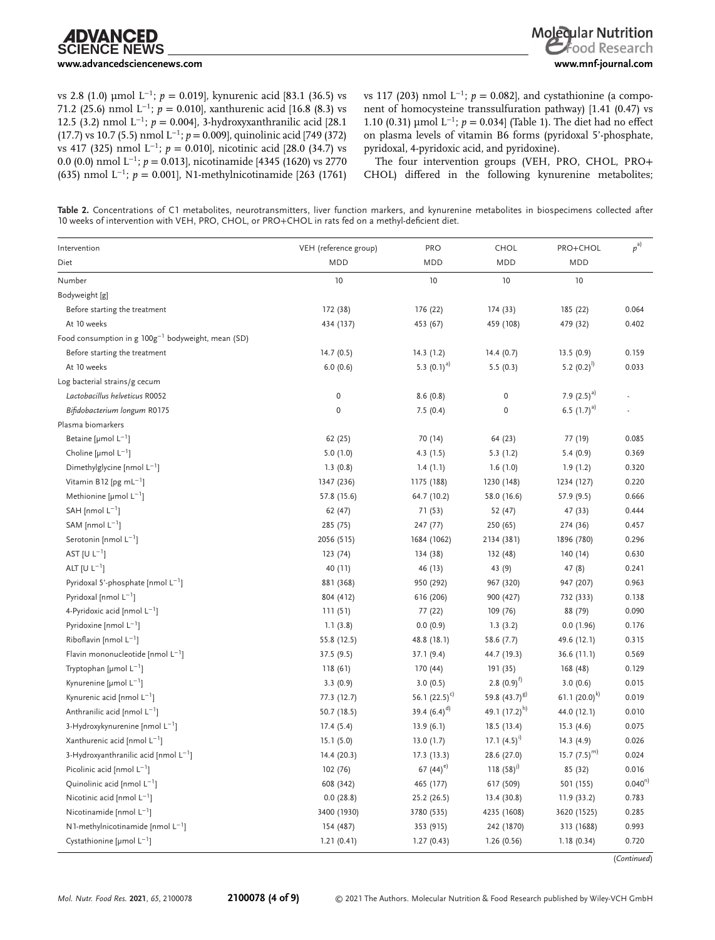vs 2.8 (1.0) µmol L<sup>−</sup>1; *p* = 0.019], kynurenic acid [83.1 (36.5) vs 71.2 (25.6) nmol L<sup>−</sup>1; *p* = 0.010], xanthurenic acid [16.8 (8.3) vs 12.5 (3.2) nmol L<sup>−</sup>1; *p* = 0.004], 3-hydroxyxanthranilic acid [28.1 (17.7) vs 10.7 (5.5) nmol L<sup>−</sup>1; *p* = 0.009], quinolinic acid [749 (372) vs 417 (325) nmol L<sup>−</sup>1; *p* = 0.010], nicotinic acid [28.0 (34.7) vs 0.0 (0.0) nmol L<sup>−</sup>1; *p* = 0.013], nicotinamide [4345 (1620) vs 2770 (635) nmol L<sup>−</sup>1; *p* = 0.001], N1-methylnicotinamide [263 (1761)

vs 117 (203) nmol  $L^{-1}$ ; *p* = 0.082], and cystathionine (a component of homocysteine transsulfuration pathway) [1.41 (0.47) vs 1.10 (0.31) µmol L<sup>−</sup>1; *p* = 0.034] (Table 1). The diet had no effect on plasma levels of vitamin B6 forms (pyridoxal 5'-phosphate, pyridoxal, 4-pyridoxic acid, and pyridoxine).

The four intervention groups (VEH, PRO, CHOL, PRO+ CHOL) differed in the following kynurenine metabolites;

**Table 2.** Concentrations of C1 metabolites, neurotransmitters, liver function markers, and kynurenine metabolites in biospecimens collected after 10 weeks of intervention with VEH, PRO, CHOL, or PRO+CHOL in rats fed on a methyl-deficient diet.

| Intervention                                               | VEH (reference group) | PRO               | CHOL              | PRO+CHOL          | $p^{a}$     |
|------------------------------------------------------------|-----------------------|-------------------|-------------------|-------------------|-------------|
| Diet                                                       | MDD                   | <b>MDD</b>        | MDD               | <b>MDD</b>        |             |
| Number                                                     | 10                    | 10                | 10                | 10                |             |
| Bodyweight [g]                                             |                       |                   |                   |                   |             |
| Before starting the treatment                              | 172 (38)              | 176 (22)          | 174(33)           | 185 (22)          | 0.064       |
| At 10 weeks                                                | 434 (137)             | 453 (67)          | 459 (108)         | 479 (32)          | 0.402       |
| Food consumption in $g$ 100 $g^{-1}$ bodyweight, mean (SD) |                       |                   |                   |                   |             |
| Before starting the treatment                              | 14.7(0.5)             | 14.3(1.2)         | 14.4(0.7)         | 13.5(0.9)         | 0.159       |
| At 10 weeks                                                | 6.0(0.6)              | 5.3 $(0.1)^{a}$   | 5.5(0.3)          | 5.2 $(0.2)^{1}$   | 0.033       |
| Log bacterial strains/g cecum                              |                       |                   |                   |                   |             |
| Lactobacillus helveticus R0052                             | $\pmb{0}$             | 8.6(0.8)          | $\pmb{0}$         | 7.9 $(2.5)^{a}$   |             |
| Bifidobacterium longum R0175                               | $\mathbf 0$           | 7.5(0.4)          | $\mathbf 0$       | 6.5 $(1.7)^{a}$   |             |
| Plasma biomarkers                                          |                       |                   |                   |                   |             |
| Betaine [µmol $L^{-1}$ ]                                   | 62 (25)               | 70 (14)           | 64 (23)           | 77 (19)           | 0.085       |
| Choline [µmol $L^{-1}$ ]                                   | 5.0(1.0)              | 4.3 (1.5)         | 5.3(1.2)          | 5.4(0.9)          | 0.369       |
| Dimethylglycine [nmol $L^{-1}$ ]                           | 1.3(0.8)              | 1.4(1.1)          | 1.6(1.0)          | 1.9(1.2)          | 0.320       |
| Vitamin B12 [pg mL <sup>-1</sup> ]                         | 1347 (236)            | 1175 (188)        | 1230 (148)        | 1234 (127)        | 0.220       |
| Methionine [µmol $L^{-1}$ ]                                | 57.8 (15.6)           | 64.7 (10.2)       | 58.0 (16.6)       | 57.9 (9.5)        | 0.666       |
| SAH [nmol $L^{-1}$ ]                                       | 62 (47)               | 71 (53)           | 52 (47)           | 47 (33)           | 0.444       |
| SAM [nmol $L^{-1}$ ]                                       | 285 (75)              | 247 (77)          | 250 (65)          | 274 (36)          | 0.457       |
| Serotonin [nmol $L^{-1}$ ]                                 | 2056 (515)            | 1684 (1062)       | 2134 (381)        | 1896 (780)        | 0.296       |
| AST $[U L^{-1}]$                                           | 123(74)               | 134 (38)          | 132 (48)          | 140 (14)          | 0.630       |
| ALT $[U L^{-1}]$                                           | 40 (11)               | 46 (13)           | 43 (9)            | 47 (8)            | 0.241       |
| Pyridoxal 5'-phosphate [nmol $L^{-1}$ ]                    | 881 (368)             | 950 (292)         | 967 (320)         | 947 (207)         | 0.963       |
| Pyridoxal [nmol $L^{-1}$ ]                                 | 804 (412)             | 616 (206)         | 900 (427)         | 732 (333)         | 0.138       |
| 4-Pyridoxic acid [nmol $L^{-1}$ ]                          | 111(51)               | 77 (22)           | 109 (76)          | 88 (79)           | 0.090       |
| Pyridoxine [nmol $L^{-1}$ ]                                | 1.1(3.8)              | 0.0(0.9)          | 1.3(3.2)          | 0.0(1.96)         | 0.176       |
| Riboflavin [nmol $L^{-1}$ ]                                | 55.8 (12.5)           | 48.8 (18.1)       | 58.6(7.7)         | 49.6 (12.1)       | 0.315       |
| Flavin mononucleotide [nmol $L^{-1}$ ]                     | 37.5 (9.5)            | 37.1 (9.4)        | 44.7 (19.3)       | 36.6(11.1)        | 0.569       |
| Tryptophan [µmol $L^{-1}$ ]                                | 118(61)               | 170 (44)          | 191(35)           | 168 (48)          | 0.129       |
| Kynurenine [µmol $L^{-1}$ ]                                | 3.3(0.9)              | 3.0(0.5)          | 2.8 $(0.9)^{f}$   | 3.0(0.6)          | 0.015       |
| Kynurenic acid [nmol $L^{-1}$ ]                            | 77.3 (12.7)           | 56.1 $(22.5)^{c}$ | 59.8 $(43.7)^{g}$ | 61.1 $(20.0)^{k}$ | 0.019       |
| Anthranilic acid [nmol $L^{-1}$ ]                          | 50.7 (18.5)           | 39.4 $(6.4)^{d}$  | 49.1 $(17.2)^{h}$ | 44.0 (12.1)       | 0.010       |
| 3-Hydroxykynurenine [nmol $L^{-1}$ ]                       | 17.4(5.4)             | 13.9(6.1)         | 18.5(13.4)        | 15.3(4.6)         | 0.075       |
| Xanthurenic acid [nmol $L^{-1}$ ]                          | 15.1(5.0)             | 13.0(1.7)         | 17.1 $(4.5)^{1}$  | 14.3(4.9)         | 0.026       |
| 3-Hydroxyanthranilic acid [nmol $L^{-1}$ ]                 | 14.4 (20.3)           | 17.3(13.3)        | 28.6 (27.0)       | 15.7 $(7.5)^{m}$  | 0.024       |
| Picolinic acid [nmol $L^{-1}$ ]                            | 102 (76)              | 67 $(44)^e$       | 118 $(58)^{j}$    | 85 (32)           | 0.016       |
| Quinolinic acid [nmol L <sup>-1</sup> ]                    | 608 (342)             | 465 (177)         | 617 (509)         | 501 (155)         | $0.040^{n}$ |
| Nicotinic acid [nmol $L^{-1}$ ]                            | 0.0(28.8)             | 25.2 (26.5)       | 13.4 (30.8)       | 11.9 (33.2)       | 0.783       |
| Nicotinamide [nmol $L^{-1}$ ]                              | 3400 (1930)           | 3780 (535)        | 4235 (1608)       | 3620 (1525)       | 0.285       |
| N 1-methylnicotinamide [nmol $L^{-1}$ ]                    | 154 (487)             | 353 (915)         | 242 (1870)        | 313 (1688)        | 0.993       |
| Cystathionine [µmol $L^{-1}$ ]                             | 1.21(0.41)            | 1.27(0.43)        | 1.26(0.56)        | 1.18(0.34)        | 0.720       |

(*Continued*)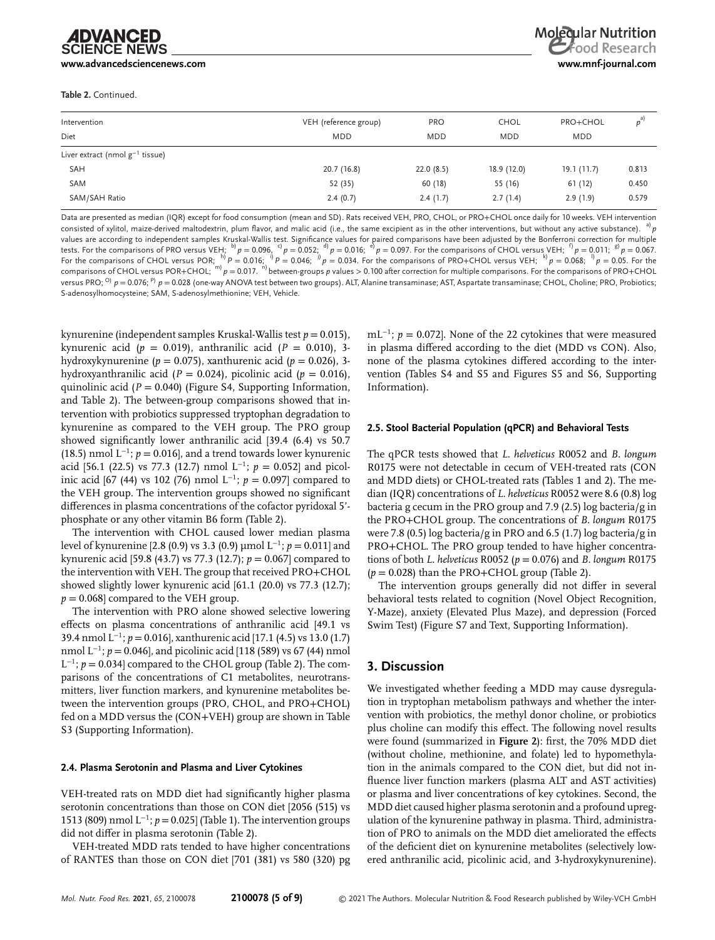**[www.advancedsciencenews.com](http://www.advancedsciencenews.com) [www.mnf-journal.com](http://www.mnf-journal.com)**

**Table 2.** Continued.

| Intervention                         | VEH (reference group) | <b>PRO</b> | CHOL        | PRO+CHOL   | $p^{a}$ |
|--------------------------------------|-----------------------|------------|-------------|------------|---------|
| Diet                                 | <b>MDD</b>            | <b>MDD</b> | <b>MDD</b>  | <b>MDD</b> |         |
| Liver extract (nmol $g^{-1}$ tissue) |                       |            |             |            |         |
| <b>SAH</b>                           | 20.7 (16.8)           | 22.0(8.5)  | 18.9 (12.0) | 19.1(11.7) | 0.813   |
| SAM                                  | 52 (35)               | 60 (18)    | 55 (16)     | 61 (12)    | 0.450   |
| SAM/SAH Ratio                        | 2.4(0.7)              | 2.4(1.7)   | 2.7(1.4)    | 2.9(1.9)   | 0.579   |

Data are presented as median (IQR) except for food consumption (mean and SD). Rats received VEH, PRO, CHOL, or PRO+CHOL once daily for 10 weeks. VEH intervention consisted of xylitol, maize-derived maltodextrin, plum flavor, and malic acid (i.e., the same excipient as in the other interventions, but without any active substance). values are according to independent samples Kruskal-Wallis test. Significance values for paired comparisons have been adjusted by the Bonferroni correction for multiple<br>tests. For the comparisons of PRO versus VEH;  $^{b)}p=0$ For the comparisons of CHOL versus POR;  $\stackrel{h}{p}P = 0.016$ ;  $\stackrel{i}{p}P = 0.046$ ;  $\stackrel{h}{p}p = 0.034$ . For the comparisons of PRO+CHOL versus VEH;  $\stackrel{k}{p}P = 0.068$ ;  $\stackrel{n}{p}P = 0.05$ . For the comparisons of CHOL versus POR+CH versus PRO; <sup>O</sup>)  $p = 0.076$ ; <sup>p</sup>)  $p = 0.028$  (one-way ANOVA test between two groups). ALT, Alanine transaminase; AST, Aspartate transaminase; CHOL, Choline; PRO, Probiotics; S-adenosylhomocysteine; SAM, S-adenosylmethionine; VEH, Vehicle.

kynurenine (independent samples Kruskal-Wallis test *p* = 0.015), kynurenic acid (*p* = 0.019), anthranilic acid (*P* = 0.010), 3 hydroxykynurenine (*p* = 0.075), xanthurenic acid (*p* = 0.026), 3 hydroxyanthranilic acid ( $P = 0.024$ ), picolinic acid ( $p = 0.016$ ), quinolinic acid (*P* = 0.040) (Figure S4, Supporting Information, and Table 2). The between-group comparisons showed that intervention with probiotics suppressed tryptophan degradation to kynurenine as compared to the VEH group. The PRO group showed significantly lower anthranilic acid [39.4 (6.4) vs 50.7 (18.5) nmol L<sup>−</sup>1; *p* = 0.016], and a trend towards lower kynurenic acid [56.1 (22.5) vs 77.3 (12.7) nmol L<sup>−</sup>1; *p* = 0.052] and picolinic acid [67 (44) vs 102 (76) nmol L<sup>−</sup>1; *p* = 0.097] compared to the VEH group. The intervention groups showed no significant differences in plasma concentrations of the cofactor pyridoxal 5' phosphate or any other vitamin B6 form (Table 2).

The intervention with CHOL caused lower median plasma level of kynurenine [2.8 (0.9) vs 3.3 (0.9) µmol L<sup>−</sup>1; *p* = 0.011] and kynurenic acid [59.8 (43.7) vs 77.3 (12.7); *p* = 0.067] compared to the intervention with VEH. The group that received PRO+CHOL showed slightly lower kynurenic acid [61.1 (20.0) vs 77.3 (12.7);  $p = 0.068$  compared to the VEH group.

The intervention with PRO alone showed selective lowering effects on plasma concentrations of anthranilic acid [49.1 vs 39.4 nmol L<sup>−</sup>1; *p* = 0.016], xanthurenic acid [17.1 (4.5) vs 13.0 (1.7) nmol L<sup>-1</sup>; *p* = 0.046], and picolinic acid [118 (589) vs 67 (44) nmol L<sup>−</sup>1; *p* = 0.034] compared to the CHOL group (Table 2). The comparisons of the concentrations of C1 metabolites, neurotransmitters, liver function markers, and kynurenine metabolites between the intervention groups (PRO, CHOL, and PRO+CHOL) fed on a MDD versus the (CON+VEH) group are shown in Table S3 (Supporting Information).

#### **2.4. Plasma Serotonin and Plasma and Liver Cytokines**

VEH-treated rats on MDD diet had significantly higher plasma serotonin concentrations than those on CON diet [2056 (515) vs 1513 (809) nmol L<sup>−</sup>1; *p* = 0.025] (Table 1). The intervention groups did not differ in plasma serotonin (Table 2).

VEH-treated MDD rats tended to have higher concentrations of RANTES than those on CON diet [701 (381) vs 580 (320) pg mL<sup>-1</sup>; *p* = 0.072]. None of the 22 cytokines that were measured in plasma differed according to the diet (MDD vs CON). Also, none of the plasma cytokines differed according to the intervention (Tables S4 and S5 and Figures S5 and S6, Supporting Information).

#### **2.5. Stool Bacterial Population (qPCR) and Behavioral Tests**

The qPCR tests showed that *L. helveticus* R0052 and *B. longum* R0175 were not detectable in cecum of VEH-treated rats (CON and MDD diets) or CHOL-treated rats (Tables 1 and 2). The median (IQR) concentrations of *L. helveticus* R0052 were 8.6 (0.8) log bacteria g cecum in the PRO group and 7.9 (2.5) log bacteria/g in the PRO+CHOL group. The concentrations of *B. longum* R0175 were 7.8 (0.5) log bacteria/g in PRO and 6.5 (1.7) log bacteria/g in PRO+CHOL. The PRO group tended to have higher concentrations of both *L. helveticus* R0052 (*p* = 0.076) and *B. longum* R0175  $(p = 0.028)$  than the PRO+CHOL group (Table 2).

The intervention groups generally did not differ in several behavioral tests related to cognition (Novel Object Recognition, Y-Maze), anxiety (Elevated Plus Maze), and depression (Forced Swim Test) (Figure S7 and Text, Supporting Information).

### **3. Discussion**

We investigated whether feeding a MDD may cause dysregulation in tryptophan metabolism pathways and whether the intervention with probiotics, the methyl donor choline, or probiotics plus choline can modify this effect. The following novel results were found (summarized in **Figure 2**): first, the 70% MDD diet (without choline, methionine, and folate) led to hypomethylation in the animals compared to the CON diet, but did not influence liver function markers (plasma ALT and AST activities) or plasma and liver concentrations of key cytokines. Second, the MDD diet caused higher plasma serotonin and a profound upregulation of the kynurenine pathway in plasma. Third, administration of PRO to animals on the MDD diet ameliorated the effects of the deficient diet on kynurenine metabolites (selectively lowered anthranilic acid, picolinic acid, and 3-hydroxykynurenine).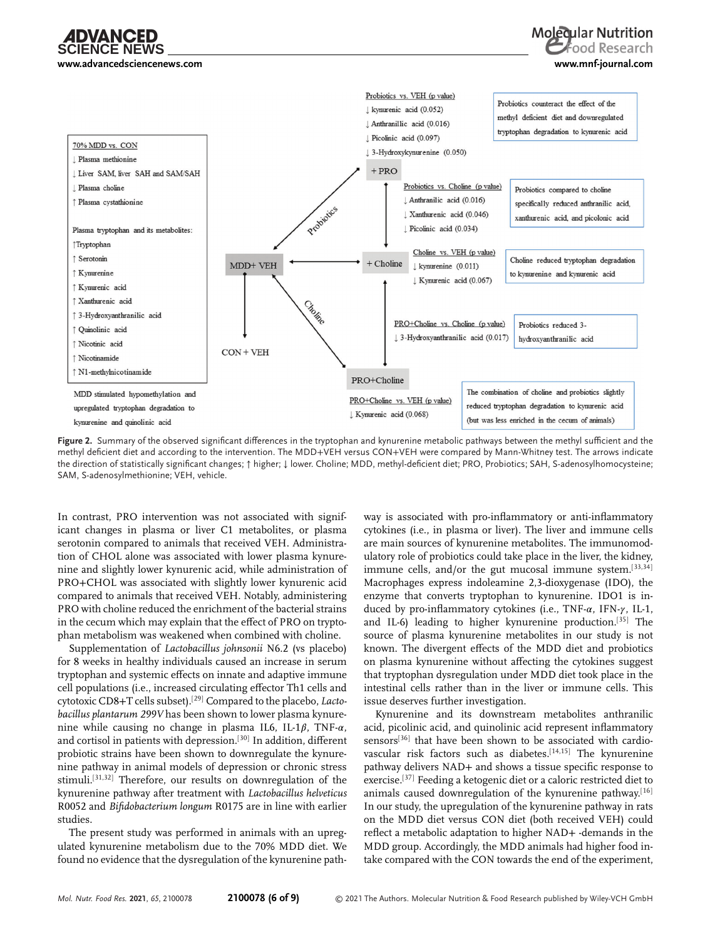**[www.advancedsciencenews.com](http://www.advancedsciencenews.com) [www.mnf-journal.com](http://www.mnf-journal.com)**



**Figure 2.** Summary of the observed significant differences in the tryptophan and kynurenine metabolic pathways between the methyl sufficient and the methyl deficient diet and according to the intervention. The MDD+VEH versus CON+VEH were compared by Mann-Whitney test. The arrows indicate the direction of statistically significant changes; ↑ higher; ↓ lower. Choline; MDD, methyl-deficient diet; PRO, Probiotics; SAH, S-adenosylhomocysteine; SAM, S-adenosylmethionine; VEH, vehicle.

In contrast, PRO intervention was not associated with significant changes in plasma or liver C1 metabolites, or plasma serotonin compared to animals that received VEH. Administration of CHOL alone was associated with lower plasma kynurenine and slightly lower kynurenic acid, while administration of PRO+CHOL was associated with slightly lower kynurenic acid compared to animals that received VEH. Notably, administering PRO with choline reduced the enrichment of the bacterial strains in the cecum which may explain that the effect of PRO on tryptophan metabolism was weakened when combined with choline.

Supplementation of *Lactobacillus johnsonii* N6.2 (vs placebo) for 8 weeks in healthy individuals caused an increase in serum tryptophan and systemic effects on innate and adaptive immune cell populations (i.e., increased circulating effector Th1 cells and cytotoxic CD8+T cells subset).[29] Compared to the placebo, *Lactobacillus plantarum 299V* has been shown to lower plasma kynurenine while causing no change in plasma IL6, IL-1 $\beta$ , TNF- $\alpha$ , and cortisol in patients with depression.<sup>[30]</sup> In addition, different probiotic strains have been shown to downregulate the kynurenine pathway in animal models of depression or chronic stress stimuli.[31,32] Therefore, our results on downregulation of the kynurenine pathway after treatment with *Lactobacillus helveticus* R0052 and *Bifidobacterium longum* R0175 are in line with earlier studies.

The present study was performed in animals with an upregulated kynurenine metabolism due to the 70% MDD diet. We found no evidence that the dysregulation of the kynurenine path-

way is associated with pro-inflammatory or anti-inflammatory cytokines (i.e., in plasma or liver). The liver and immune cells are main sources of kynurenine metabolites. The immunomodulatory role of probiotics could take place in the liver, the kidney, immune cells, and/or the gut mucosal immune system.<sup>[33,34]</sup> Macrophages express indoleamine 2,3-dioxygenase (IDO), the enzyme that converts tryptophan to kynurenine. IDO1 is induced by pro-inflammatory cytokines (i.e., TNF- $\alpha$ , IFN- $\gamma$ , IL-1, and IL-6) leading to higher kynurenine production.[35] The source of plasma kynurenine metabolites in our study is not known. The divergent effects of the MDD diet and probiotics on plasma kynurenine without affecting the cytokines suggest that tryptophan dysregulation under MDD diet took place in the intestinal cells rather than in the liver or immune cells. This issue deserves further investigation.

Kynurenine and its downstream metabolites anthranilic acid, picolinic acid, and quinolinic acid represent inflammatory sensors<sup>[36]</sup> that have been shown to be associated with cardiovascular risk factors such as diabetes.[14,15] The kynurenine pathway delivers NAD+ and shows a tissue specific response to exercise.[37] Feeding a ketogenic diet or a caloric restricted diet to animals caused downregulation of the kynurenine pathway.<sup>[16]</sup> In our study, the upregulation of the kynurenine pathway in rats on the MDD diet versus CON diet (both received VEH) could reflect a metabolic adaptation to higher NAD+ -demands in the MDD group. Accordingly, the MDD animals had higher food intake compared with the CON towards the end of the experiment,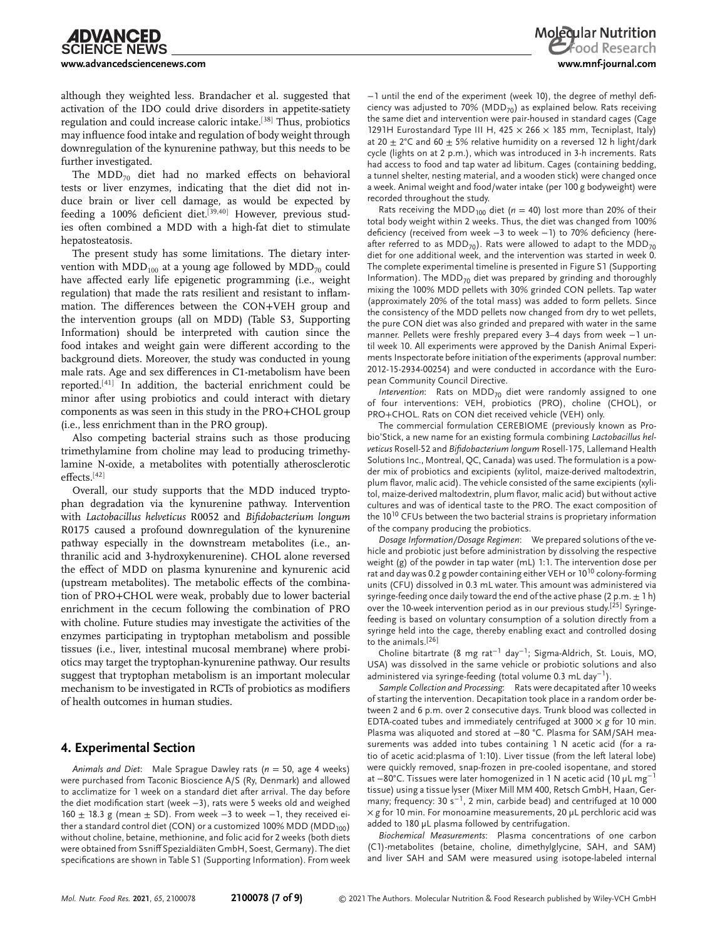although they weighted less. Brandacher et al. suggested that activation of the IDO could drive disorders in appetite-satiety regulation and could increase caloric intake.[38] Thus, probiotics may influence food intake and regulation of body weight through downregulation of the kynurenine pathway, but this needs to be further investigated.

The MDD $_{70}$  diet had no marked effects on behavioral tests or liver enzymes, indicating that the diet did not induce brain or liver cell damage, as would be expected by feeding a 100% deficient diet.<sup>[39,40]</sup> However, previous studies often combined a MDD with a high-fat diet to stimulate hepatosteatosis.

The present study has some limitations. The dietary intervention with  $MDD_{100}$  at a young age followed by  $MDD_{70}$  could have affected early life epigenetic programming (i.e., weight regulation) that made the rats resilient and resistant to inflammation. The differences between the CON+VEH group and the intervention groups (all on MDD) (Table S3, Supporting Information) should be interpreted with caution since the food intakes and weight gain were different according to the background diets. Moreover, the study was conducted in young male rats. Age and sex differences in C1-metabolism have been reported.[41] In addition, the bacterial enrichment could be minor after using probiotics and could interact with dietary components as was seen in this study in the PRO+CHOL group (i.e., less enrichment than in the PRO group).

Also competing bacterial strains such as those producing trimethylamine from choline may lead to producing trimethylamine N-oxide, a metabolites with potentially atherosclerotic effects.[42]

Overall, our study supports that the MDD induced tryptophan degradation via the kynurenine pathway. Intervention with *Lactobacillus helveticus* R0052 and *Bifidobacterium longum* R0175 caused a profound downregulation of the kynurenine pathway especially in the downstream metabolites (i.e., anthranilic acid and 3-hydroxykenurenine). CHOL alone reversed the effect of MDD on plasma kynurenine and kynurenic acid (upstream metabolites). The metabolic effects of the combination of PRO+CHOL were weak, probably due to lower bacterial enrichment in the cecum following the combination of PRO with choline. Future studies may investigate the activities of the enzymes participating in tryptophan metabolism and possible tissues (i.e., liver, intestinal mucosal membrane) where probiotics may target the tryptophan-kynurenine pathway. Our results suggest that tryptophan metabolism is an important molecular mechanism to be investigated in RCTs of probiotics as modifiers of health outcomes in human studies.

# **4. Experimental Section**

*Animals and Diet*: Male Sprague Dawley rats (*n* = 50, age 4 weeks) were purchased from Taconic Bioscience A/S (Ry, Denmark) and allowed to acclimatize for 1 week on a standard diet after arrival. The day before the diet modification start (week −3), rats were 5 weeks old and weighed 160  $\pm$  18.3 g (mean  $\pm$  SD). From week -3 to week -1, they received either a standard control diet (CON) or a customized 100% MDD (MDD<sub>100</sub>) without choline, betaine, methionine, and folic acid for 2 weeks (both diets were obtained from Ssniff Spezialdiäten GmbH, Soest, Germany). The diet specifications are shown in Table S1 (Supporting Information). From week

−1 until the end of the experiment (week 10), the degree of methyl deficiency was adjusted to 70% (MDD $_{70}$ ) as explained below. Rats receiving the same diet and intervention were pair-housed in standard cages (Cage 1291H Eurostandard Type III H, 425  $\times$  266  $\times$  185 mm, Tecniplast, Italy) at 20  $\pm$  2°C and 60  $\pm$  5% relative humidity on a reversed 12 h light/dark cycle (lights on at 2 p.m.), which was introduced in 3-h increments. Rats had access to food and tap water ad libitum. Cages (containing bedding, a tunnel shelter, nesting material, and a wooden stick) were changed once a week. Animal weight and food/water intake (per 100 g bodyweight) were recorded throughout the study.

Rats receiving the MDD<sub>100</sub> diet ( $n = 40$ ) lost more than 20% of their total body weight within 2 weeks. Thus, the diet was changed from 100% deficiency (received from week −3 to week −1) to 70% deficiency (hereafter referred to as MDD<sub>70</sub>). Rats were allowed to adapt to the MDD<sub>70</sub> diet for one additional week, and the intervention was started in week 0. The complete experimental timeline is presented in Figure S1 (Supporting Information). The MDD<sub>70</sub> diet was prepared by grinding and thoroughly mixing the 100% MDD pellets with 30% grinded CON pellets. Tap water (approximately 20% of the total mass) was added to form pellets. Since the consistency of the MDD pellets now changed from dry to wet pellets, the pure CON diet was also grinded and prepared with water in the same manner. Pellets were freshly prepared every 3–4 days from week −1 until week 10. All experiments were approved by the Danish Animal Experiments Inspectorate before initiation of the experiments (approval number: 2012-15-2934-00254) and were conducted in accordance with the European Community Council Directive.

*Intervention*: Rats on MDD<sub>70</sub> diet were randomly assigned to one of four interventions: VEH, probiotics (PRO), choline (CHOL), or PRO+CHOL. Rats on CON diet received vehicle (VEH) only.

The commercial formulation CEREBIOME (previously known as Probio'Stick, a new name for an existing formula combining *Lactobacillus helveticus* Rosell-52 and *Bifidobacterium longum* Rosell-175, Lallemand Health Solutions Inc., Montreal, QC, Canada) was used. The formulation is a powder mix of probiotics and excipients (xylitol, maize-derived maltodextrin, plum flavor, malic acid). The vehicle consisted of the same excipients (xylitol, maize-derived maltodextrin, plum flavor, malic acid) but without active cultures and was of identical taste to the PRO. The exact composition of the 10<sup>10</sup> CFUs between the two bacterial strains is proprietary information of the company producing the probiotics.

*Dosage Information/Dosage Regimen*: We prepared solutions of the vehicle and probiotic just before administration by dissolving the respective weight (g) of the powder in tap water (mL) 1:1. The intervention dose per rat and day was 0.2 g powder containing either VEH or 10<sup>10</sup> colony-forming units (CFU) dissolved in 0.3 mL water. This amount was administered via syringe-feeding once daily toward the end of the active phase (2 p.m.  $\pm$  1 h) over the 10-week intervention period as in our previous study.[25] Syringefeeding is based on voluntary consumption of a solution directly from a syringe held into the cage, thereby enabling exact and controlled dosing to the animals.[26]

Choline bitartrate (8 mg rat−<sup>1</sup> day<sup>−</sup>1; Sigma-Aldrich, St. Louis, MO, USA) was dissolved in the same vehicle or probiotic solutions and also administered via syringe-feeding (total volume 0.3 mL day<sup>−</sup>1).

*Sample Collection and Processing*: Rats were decapitated after 10 weeks of starting the intervention. Decapitation took place in a random order between 2 and 6 p.m. over 2 consecutive days. Trunk blood was collected in EDTA-coated tubes and immediately centrifuged at 3000 × *g* for 10 min. Plasma was aliquoted and stored at −80 °C. Plasma for SAM/SAH measurements was added into tubes containing 1 N acetic acid (for a ratio of acetic acid:plasma of 1:10). Liver tissue (from the left lateral lobe) were quickly removed, snap-frozen in pre-cooled isopentane, and stored at −80°C. Tissues were later homogenized in 1 N acetic acid (10  $\mu$ L mg<sup>-1</sup> tissue) using a tissue lyser (Mixer Mill MM 400, Retsch GmbH, Haan, Germany; frequency: 30 s<sup>−</sup>1, 2 min, carbide bead) and centrifuged at 10 000 × *g* for 10 min. For monoamine measurements, 20 µL perchloric acid was added to 180 µL plasma followed by centrifugation.

*Biochemical Measurements*: Plasma concentrations of one carbon (C1)-metabolites (betaine, choline, dimethylglycine, SAH, and SAM) and liver SAH and SAM were measured using isotope-labeled internal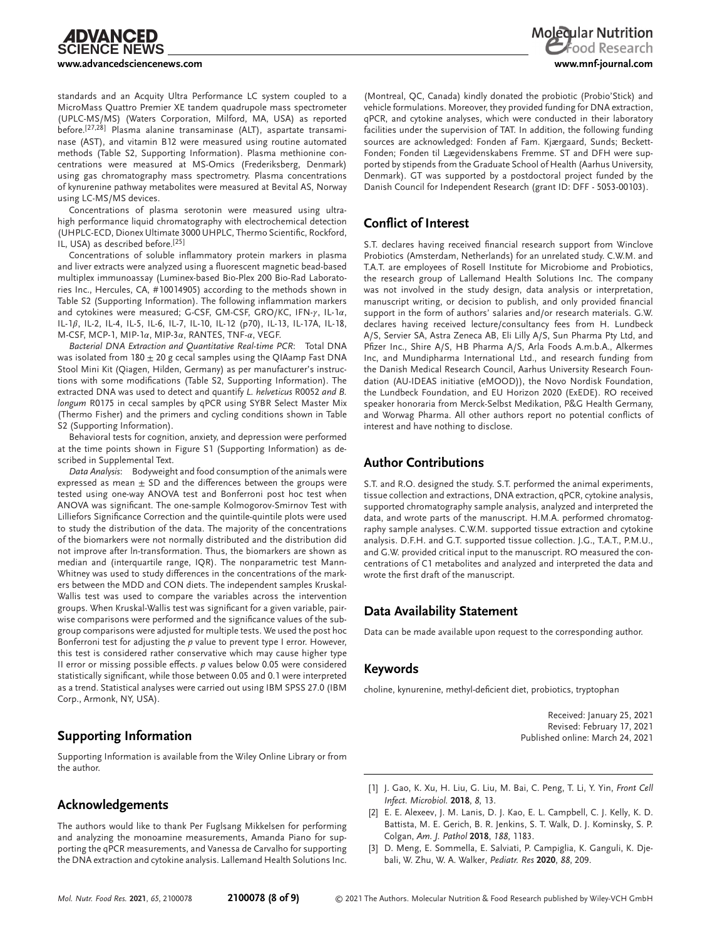standards and an Acquity Ultra Performance LC system coupled to a MicroMass Quattro Premier XE tandem quadrupole mass spectrometer (UPLC-MS/MS) (Waters Corporation, Milford, MA, USA) as reported before.[27,28] Plasma alanine transaminase (ALT), aspartate transaminase (AST), and vitamin B12 were measured using routine automated methods (Table S2, Supporting Information). Plasma methionine concentrations were measured at MS-Omics (Frederiksberg, Denmark) using gas chromatography mass spectrometry. Plasma concentrations of kynurenine pathway metabolites were measured at Bevital AS, Norway using LC-MS/MS devices.

Concentrations of plasma serotonin were measured using ultrahigh performance liquid chromatography with electrochemical detection (UHPLC-ECD, Dionex Ultimate 3000 UHPLC, Thermo Scientific, Rockford, IL, USA) as described before.[25]

Concentrations of soluble inflammatory protein markers in plasma and liver extracts were analyzed using a fluorescent magnetic bead-based multiplex immunoassay (Luminex-based Bio-Plex 200 Bio-Rad Laboratories Inc., Hercules, CA, #10014905) according to the methods shown in Table S2 (Supporting Information). The following inflammation markers and cytokines were measured; G-CSF, GM-CSF, GRO/KC, IFN- $\gamma$ , IL-1 $\alpha$ , IL-1 $\beta$ , IL-2, IL-4, IL-5, IL-6, IL-7, IL-10, IL-12 (p70), IL-13, IL-17A, IL-18, M-CSF, MCP-1, MIP-1 $\alpha$ , MIP-3 $\alpha$ , RANTES, TNF- $\alpha$ , VEGF.

*Bacterial DNA Extraction and Quantitative Real-time PCR*: Total DNA was isolated from  $180 \pm 20$  g cecal samples using the QIAamp Fast DNA Stool Mini Kit (Qiagen, Hilden, Germany) as per manufacturer's instructions with some modifications (Table S2, Supporting Information). The extracted DNA was used to detect and quantify *L. helveticus* R0052 *and B. longum* R0175 in cecal samples by qPCR using SYBR Select Master Mix (Thermo Fisher) and the primers and cycling conditions shown in Table S2 (Supporting Information).

Behavioral tests for cognition, anxiety, and depression were performed at the time points shown in Figure S1 (Supporting Information) as described in Supplemental Text.

*Data Analysis*: Bodyweight and food consumption of the animals were expressed as mean  $\pm$  SD and the differences between the groups were tested using one-way ANOVA test and Bonferroni post hoc test when ANOVA was significant. The one-sample Kolmogorov-Smirnov Test with Lilliefors Significance Correction and the quintile-quintile plots were used to study the distribution of the data. The majority of the concentrations of the biomarkers were not normally distributed and the distribution did not improve after ln-transformation. Thus, the biomarkers are shown as median and (interquartile range, IQR). The nonparametric test Mann-Whitney was used to study differences in the concentrations of the markers between the MDD and CON diets. The independent samples Kruskal-Wallis test was used to compare the variables across the intervention groups. When Kruskal-Wallis test was significant for a given variable, pairwise comparisons were performed and the significance values of the subgroup comparisons were adjusted for multiple tests. We used the post hoc Bonferroni test for adjusting the *p* value to prevent type I error. However, this test is considered rather conservative which may cause higher type II error or missing possible effects. *p* values below 0.05 were considered statistically significant, while those between 0.05 and 0.1 were interpreted as a trend. Statistical analyses were carried out using IBM SPSS 27.0 (IBM Corp., Armonk, NY, USA).

# **Supporting Information**

Supporting Information is available from the Wiley Online Library or from the author.

# **Acknowledgements**

The authors would like to thank Per Fuglsang Mikkelsen for performing and analyzing the monoamine measurements, Amanda Piano for supporting the qPCR measurements, and Vanessa de Carvalho for supporting the DNA extraction and cytokine analysis. Lallemand Health Solutions Inc.

(Montreal, QC, Canada) kindly donated the probiotic (Probio'Stick) and vehicle formulations. Moreover, they provided funding for DNA extraction, qPCR, and cytokine analyses, which were conducted in their laboratory facilities under the supervision of TAT. In addition, the following funding sources are acknowledged: Fonden af Fam. Kjærgaard, Sunds; Beckett-Fonden; Fonden til Lægevidenskabens Fremme. ST and DFH were supported by stipends from the Graduate School of Health (Aarhus University, Denmark). GT was supported by a postdoctoral project funded by the Danish Council for Independent Research (grant ID: DFF - 5053-00103).

# **Conflict of Interest**

S.T. declares having received financial research support from Winclove Probiotics (Amsterdam, Netherlands) for an unrelated study. C.W.M. and T.A.T. are employees of Rosell Institute for Microbiome and Probiotics, the research group of Lallemand Health Solutions Inc. The company was not involved in the study design, data analysis or interpretation, manuscript writing, or decision to publish, and only provided financial support in the form of authors' salaries and/or research materials. G.W. declares having received lecture/consultancy fees from H. Lundbeck A/S, Servier SA, Astra Zeneca AB, Eli Lilly A/S, Sun Pharma Pty Ltd, and Pfizer Inc., Shire A/S, HB Pharma A/S, Arla Foods A.m.b.A., Alkermes Inc, and Mundipharma International Ltd., and research funding from the Danish Medical Research Council, Aarhus University Research Foundation (AU-IDEAS initiative (eMOOD)), the Novo Nordisk Foundation, the Lundbeck Foundation, and EU Horizon 2020 (ExEDE). RO received speaker honoraria from Merck-Selbst Medikation, P&G Health Germany, and Worwag Pharma. All other authors report no potential conflicts of interest and have nothing to disclose.

# **Author Contributions**

S.T. and R.O. designed the study. S.T. performed the animal experiments, tissue collection and extractions, DNA extraction, qPCR, cytokine analysis, supported chromatography sample analysis, analyzed and interpreted the data, and wrote parts of the manuscript. H.M.A. performed chromatography sample analyses. C.W.M. supported tissue extraction and cytokine analysis. D.F.H. and G.T. supported tissue collection. J.G., T.A.T., P.M.U., and G.W. provided critical input to the manuscript. RO measured the concentrations of C1 metabolites and analyzed and interpreted the data and wrote the first draft of the manuscript.

# **Data Availability Statement**

Data can be made available upon request to the corresponding author.

# **Keywords**

choline, kynurenine, methyl-deficient diet, probiotics, tryptophan

Received: January 25, 2021 Revised: February 17, 2021 Published online: March 24, 2021

- [1] J. Gao, K. Xu, H. Liu, G. Liu, M. Bai, C. Peng, T. Li, Y. Yin, *Front Cell Infect. Microbiol.* **2018**, *8*, 13.
- [2] E. E. Alexeev, J. M. Lanis, D. J. Kao, E. L. Campbell, C. J. Kelly, K. D. Battista, M. E. Gerich, B. R. Jenkins, S. T. Walk, D. J. Kominsky, S. P. Colgan, *Am. J. Pathol* **2018**, *188*, 1183.
- [3] D. Meng, E. Sommella, E. Salviati, P. Campiglia, K. Ganguli, K. Djebali, W. Zhu, W. A. Walker, *Pediatr. Res* **2020**, *88*, 209.